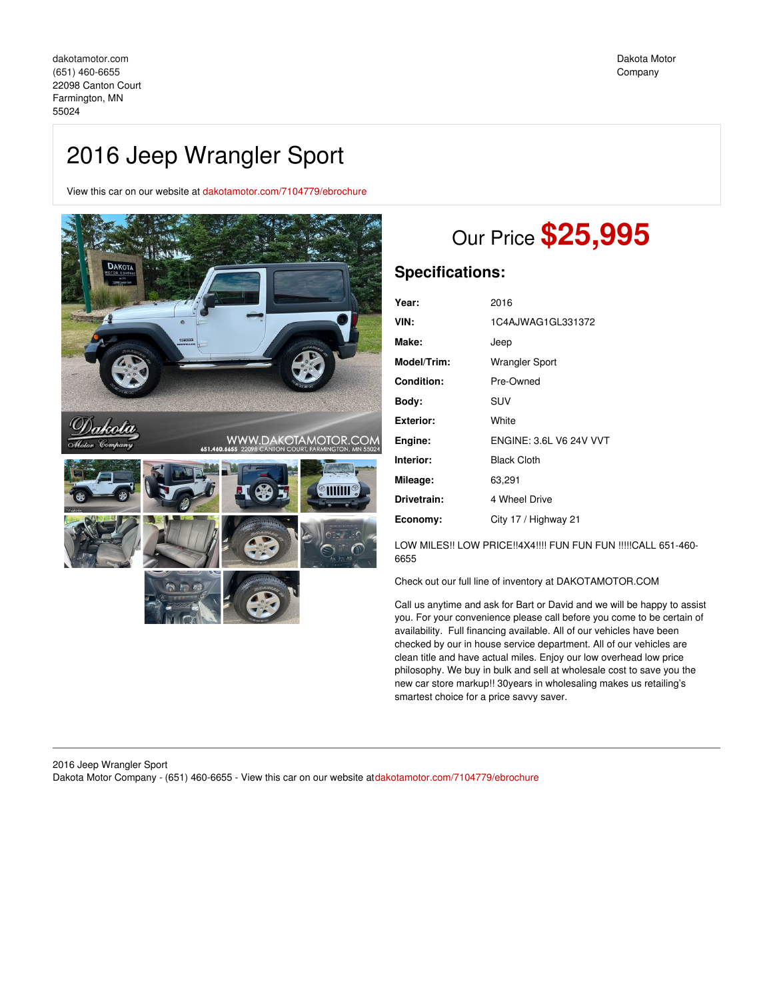View this car on our website at [dakotamotor.com/7104779/ebrochure](https://dakotamotor.com/vehicle/7104779/2016-jeep-wrangler-sport-farmington-mn-55024/7104779/ebrochure)



# Our Price **\$25,995**

## **Specifications:**

| 2016                           |
|--------------------------------|
| 1C4AJWAG1GL331372              |
| Jeep                           |
| Wrangler Sport                 |
| Pre-Owned                      |
| SUV                            |
| White                          |
| <b>ENGINE: 3.6L V6 24V VVT</b> |
| <b>Black Cloth</b>             |
| 63,291                         |
| 4 Wheel Drive                  |
| City 17 / Highway 21           |
|                                |

LOW MILES!! LOW PRICE!!4X4!!!! FUN FUN FUN !!!!!CALL 651-460-6655

Check out our full line of inventory at DAKOTAMOTOR.COM

Call us anytime and ask for Bart or David and we will be happy to assist you. For your convenience please call before you come to be certain of availability. Full financing available. All of our vehicles have been checked by our in house service department. All of our vehicles are clean title and have actual miles. Enjoy our low overhead low price philosophy. We buy in bulk and sell at wholesale cost to save you the new car store markup!! 30years in wholesaling makes us retailing's smartest choice for a price savvy saver.

#### 2016 Jeep Wrangler Sport Dakota Motor Company - (651) 460-6655 - View this car on our website at[dakotamotor.com/7104779/ebrochure](https://dakotamotor.com/vehicle/7104779/2016-jeep-wrangler-sport-farmington-mn-55024/7104779/ebrochure)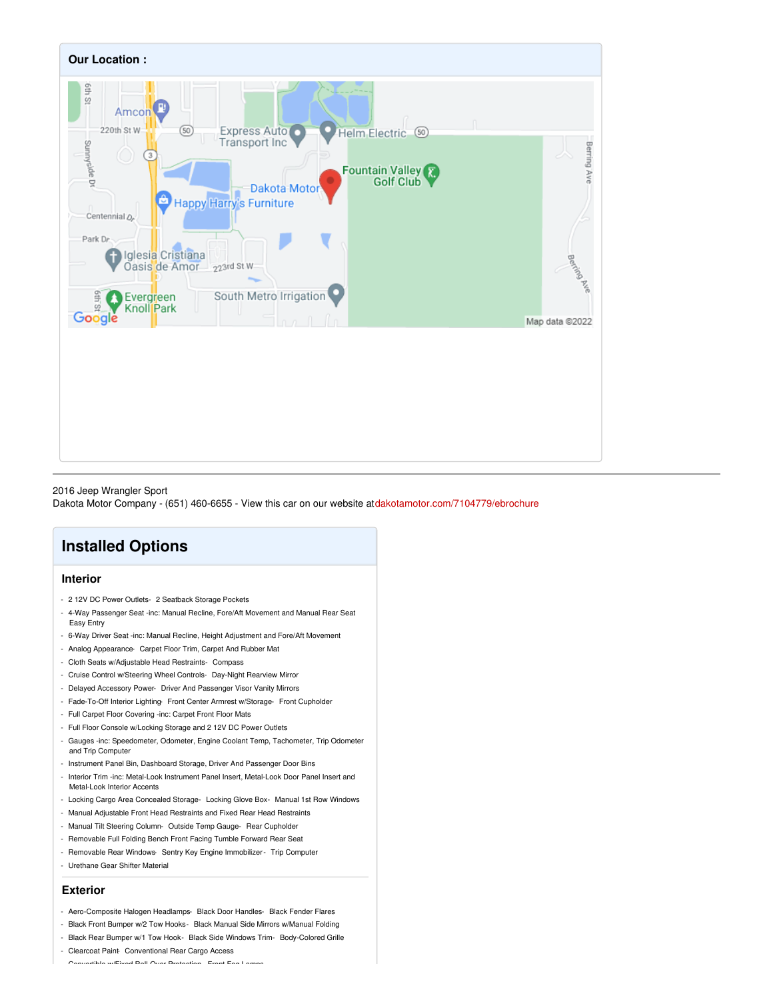

#### 2016 Jeep Wrangler Sport

Dakota Motor Company - (651) 460-6655 - View this car on our website at[dakotamotor.com/7104779/ebrochure](https://dakotamotor.com/vehicle/7104779/2016-jeep-wrangler-sport-farmington-mn-55024/7104779/ebrochure)

## **Installed Options**

## **Interior**

- 2 12V DC Power Outlets- 2 Seatback Storage Pockets
- 4-Way Passenger Seat -inc: Manual Recline, Fore/Aft Movement and Manual Rear Seat Easy Entry
- 6-Way Driver Seat -inc: Manual Recline, Height Adjustment and Fore/Aft Movement
- Analog Appearance- Carpet Floor Trim, Carpet And Rubber Mat
- Cloth Seats w/Adjustable Head Restraints- Compass
- Cruise Control w/Steering Wheel Controls- Day-Night Rearview Mirror
- Delayed Accessory Power- Driver And Passenger Visor Vanity Mirrors
- Fade-To-Off Interior Lighting- Front Center Armrest w/Storage- Front Cupholder
- Full Carpet Floor Covering -inc: Carpet Front Floor Mats
- Full Floor Console w/Locking Storage and 2 12V DC Power Outlets
- Gauges -inc: Speedometer, Odometer, Engine Coolant Temp, Tachometer, Trip Odometer and Trip Computer
- Instrument Panel Bin, Dashboard Storage, Driver And Passenger Door Bins
- Interior Trim -inc: Metal-Look Instrument Panel Insert, Metal-Look Door Panel Insert and Metal-Look Interior Accents
- Locking Cargo Area Concealed Storage- Locking Glove Box- Manual 1st Row Windows
- Manual Adjustable Front Head Restraints and Fixed Rear Head Restraints
- Manual Tilt Steering Column- Outside Temp Gauge- Rear Cupholder
- Removable Full Folding Bench Front Facing Tumble Forward Rear Seat
- Removable Rear Windows- Sentry Key Engine Immobilizer Trip Computer
- Urethane Gear Shifter Material

#### **Exterior**

- Aero-Composite Halogen Headlamps- Black Door Handles- Black Fender Flares
- Black Front Bumper w/2 Tow Hooks- Black Manual Side Mirrors w/Manual Folding
- Black Rear Bumper w/1 Tow Hook- Black Side Windows Trim- Body-Colored Grille
- Clearcoat Paint- Conventional Rear Cargo Access

- Convertible w/Fixed Roll-Over Protection- Front Fog Lamps